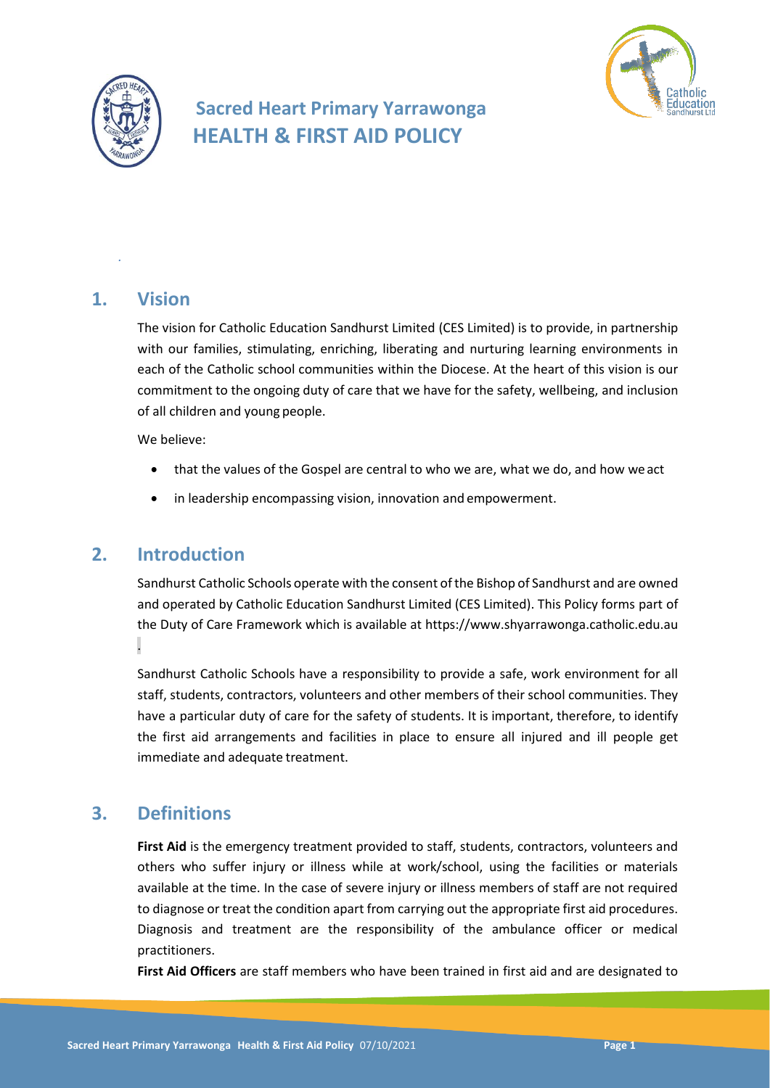

# **Sacred Heart Primary Yarrawonga HEALTH & FIRST AID POLICY**



## **1. Vision**

*.*

The vision for Catholic Education Sandhurst Limited (CES Limited) is to provide, in partnership with our families, stimulating, enriching, liberating and nurturing learning environments in each of the Catholic school communities within the Diocese. At the heart of this vision is our commitment to the ongoing duty of care that we have for the safety, wellbeing, and inclusion of all children and young people.

We believe:

- that the values of the Gospel are central to who we are, what we do, and how weact
- in leadership encompassing vision, innovation and empowerment.

# **2. Introduction**

Sandhurst Catholic Schools operate with the consent of the Bishop of Sandhurst and are owned and operated by Catholic Education Sandhurst Limited (CES Limited). This Policy forms part of the Duty of Care Framework which is available at https://www.shyarrawonga.catholic.edu.au .

Sandhurst Catholic Schools have a responsibility to provide a safe, work environment for all staff, students, contractors, volunteers and other members of their school communities. They have a particular duty of care for the safety of students. It is important, therefore, to identify the first aid arrangements and facilities in place to ensure all injured and ill people get immediate and adequate treatment.

# **3. Definitions**

First Aid is the emergency treatment provided to staff, students, contractors, volunteers and others who suffer injury or illness while at work/school, using the facilities or materials available at the time. In the case of severe injury or illness members of staff are not required to diagnose or treat the condition apart from carrying out the appropriate first aid procedures. Diagnosis and treatment are the responsibility of the ambulance officer or medical practitioners.

**First Aid Officers** are staff members who have been trained in first aid and are designated to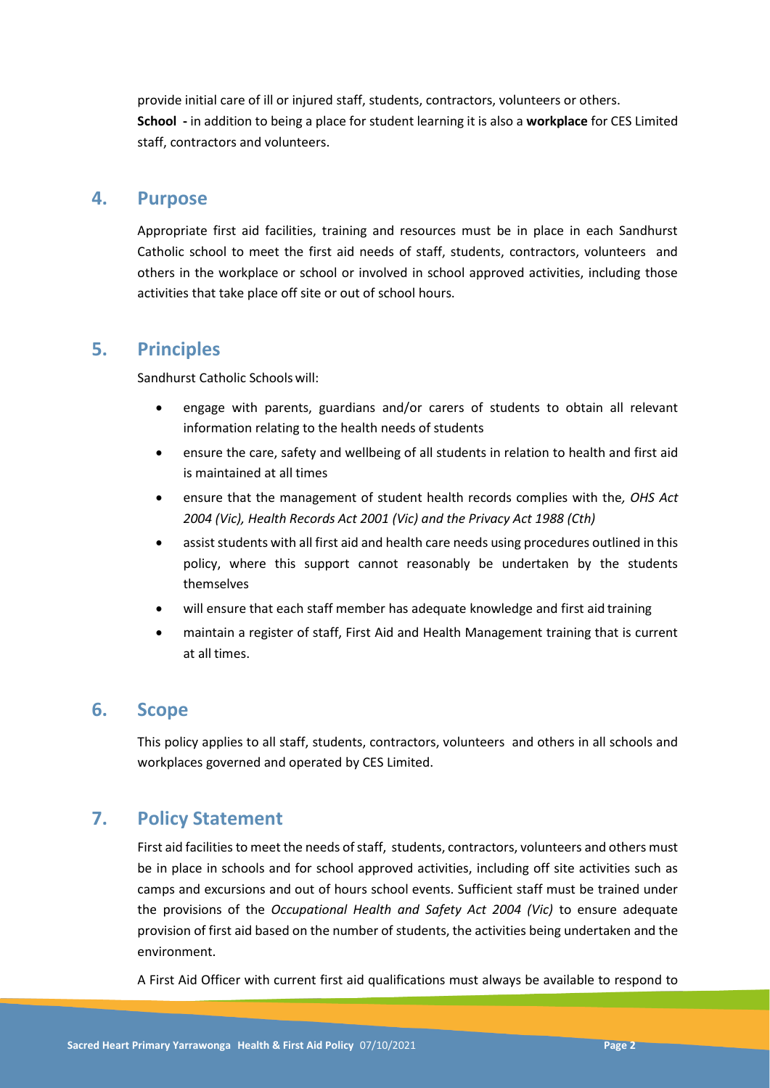provide initial care of ill or injured staff, students, contractors, volunteers or others. **School -** in addition to being a place for student learning it is also a **workplace** for CES Limited staff, contractors and volunteers.

### **4. Purpose**

Appropriate first aid facilities, training and resources must be in place in each Sandhurst Catholic school to meet the first aid needs of staff, students, contractors, volunteers and others in the workplace or school or involved in school approved activities, including those activities that take place off site or out of school hours.

## **5. Principles**

Sandhurst Catholic Schoolswill:

- engage with parents, guardians and/or carers of students to obtain all relevant information relating to the health needs of students
- ensure the care, safety and wellbeing of all students in relation to health and first aid is maintained at all times
- ensure that the management of student health records complies with the*, OHS Act 2004 (Vic), Health Records Act 2001 (Vic) and the Privacy Act 1988 (Cth)*
- assist students with all first aid and health care needs using procedures outlined in this policy, where this support cannot reasonably be undertaken by the students themselves
- will ensure that each staff member has adequate knowledge and first aid training
- maintain a register of staff, First Aid and Health Management training that is current at all times.

### **6. Scope**

This policy applies to all staff, students, contractors, volunteers and others in all schools and workplaces governed and operated by CES Limited.

# **7. Policy Statement**

First aid facilities to meet the needs of staff, students, contractors, volunteers and others must be in place in schools and for school approved activities, including off site activities such as camps and excursions and out of hours school events. Sufficient staff must be trained under the provisions of the *Occupational Health and Safety Act 2004 (Vic)* to ensure adequate provision of first aid based on the number of students, the activities being undertaken and the environment.

A First Aid Officer with current first aid qualifications must always be available to respond to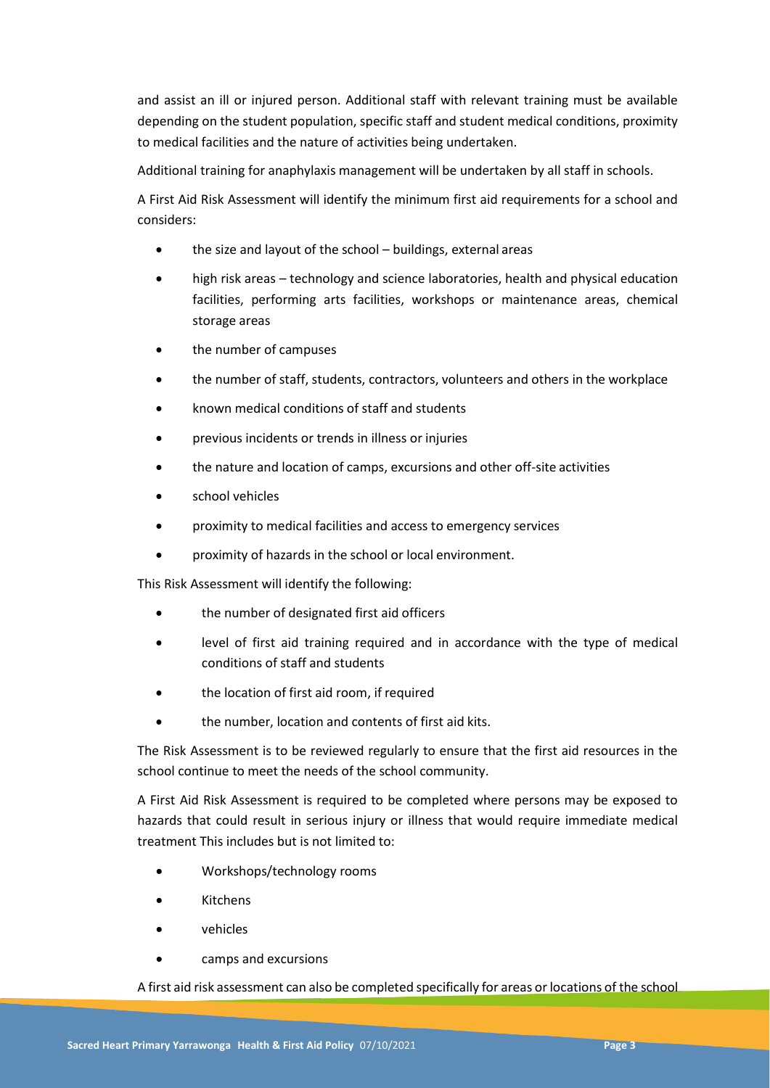and assist an ill or injured person. Additional staff with relevant training must be available depending on the student population, specific staff and student medical conditions, proximity to medical facilities and the nature of activities being undertaken.

Additional training for anaphylaxis management will be undertaken by all staff in schools.

A First Aid Risk Assessment will identify the minimum first aid requirements for a school and considers:

- the size and layout of the school buildings, external areas
- high risk areas technology and science laboratories, health and physical education facilities, performing arts facilities, workshops or maintenance areas, chemical storage areas
- the number of campuses
- the number of staff, students, contractors, volunteers and others in the workplace
- known medical conditions of staff and students
- previous incidents or trends in illness or injuries
- the nature and location of camps, excursions and other off-site activities
- school vehicles
- proximity to medical facilities and access to emergency services
- proximity of hazards in the school or local environment.

This Risk Assessment will identify the following:

- the number of designated first aid officers
- level of first aid training required and in accordance with the type of medical conditions of staff and students
- the location of first aid room, if required
- the number, location and contents of first aid kits.

The Risk Assessment is to be reviewed regularly to ensure that the first aid resources in the school continue to meet the needs of the school community.

A First Aid Risk Assessment is required to be completed where persons may be exposed to hazards that could result in serious injury or illness that would require immediate medical treatment This includes but is not limited to:

- Workshops/technology rooms
- Kitchens
- vehicles
- camps and excursions

A first aid risk assessment can also be completed specifically for areas or locations of the school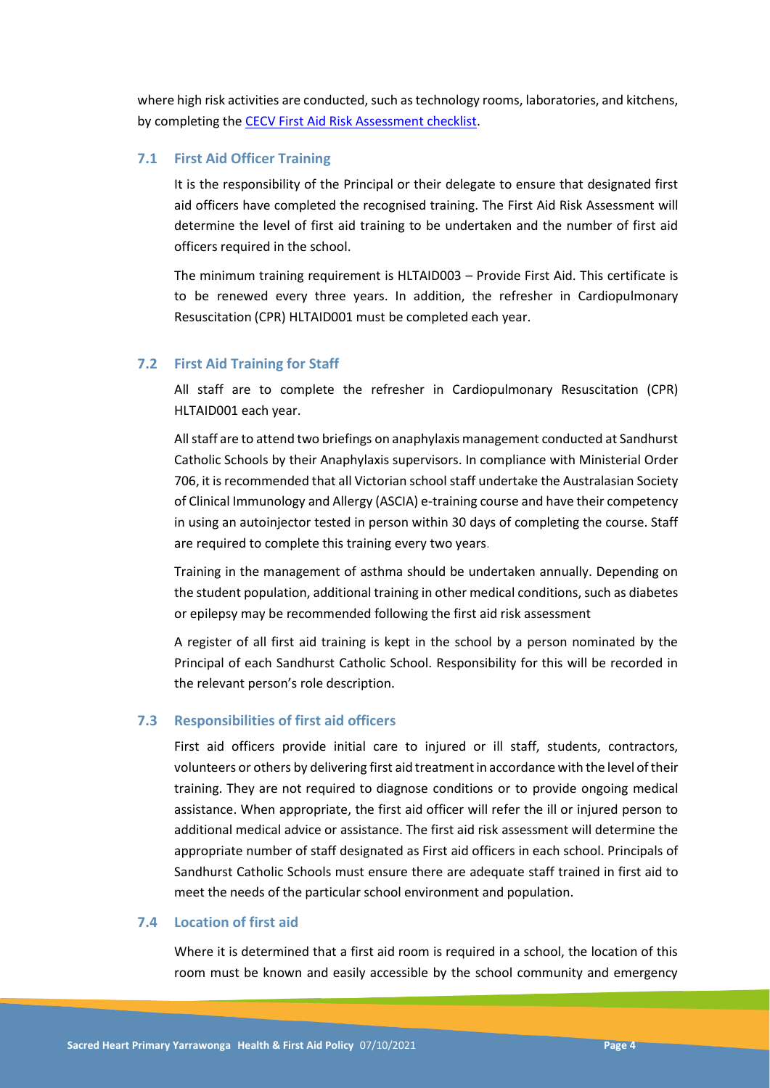where high risk activities are conducted, such as technology rooms, laboratories, and kitchens, by completing th[e CECV First Aid Risk Assessment checklist.](https://www.cecv.catholic.edu.au/OHS-WorkCover/Resources/First-Aid)

#### **7.1 First Aid Officer Training**

It is the responsibility of the Principal or their delegate to ensure that designated first aid officers have completed the recognised training. The First Aid Risk Assessment will determine the level of first aid training to be undertaken and the number of first aid officers required in the school.

The minimum training requirement is HLTAID003 – Provide First Aid. This certificate is to be renewed every three years. In addition, the refresher in Cardiopulmonary Resuscitation (CPR) HLTAID001 must be completed each year.

#### **7.2 First Aid Training for Staff**

All staff are to complete the refresher in Cardiopulmonary Resuscitation (CPR) HLTAID001 each year.

All staff are to attend two briefings on anaphylaxis management conducted at Sandhurst Catholic Schools by their Anaphylaxis supervisors. In compliance with Ministerial Order 706, it is recommended that all Victorian school staff undertake the Australasian Society of Clinical Immunology and Allergy (ASCIA) e-training course and have their competency in using an autoinjector tested in person within 30 days of completing the course. Staff are required to complete this training every two years.

Training in the management of asthma should be undertaken annually. Depending on the student population, additional training in other medical conditions, such as diabetes or epilepsy may be recommended following the first aid risk assessment

A register of all first aid training is kept in the school by a person nominated by the Principal of each Sandhurst Catholic School. Responsibility for this will be recorded in the relevant person's role description.

#### **7.3 Responsibilities of first aid officers**

First aid officers provide initial care to injured or ill staff, students, contractors, volunteers or others by delivering first aid treatmentin accordance with the level oftheir training. They are not required to diagnose conditions or to provide ongoing medical assistance. When appropriate, the first aid officer will refer the ill or injured person to additional medical advice or assistance. The first aid risk assessment will determine the appropriate number of staff designated as First aid officers in each school. Principals of Sandhurst Catholic Schools must ensure there are adequate staff trained in first aid to meet the needs of the particular school environment and population.

#### **7.4 Location of first aid**

Where it is determined that a first aid room is required in a school, the location of this room must be known and easily accessible by the school community and emergency